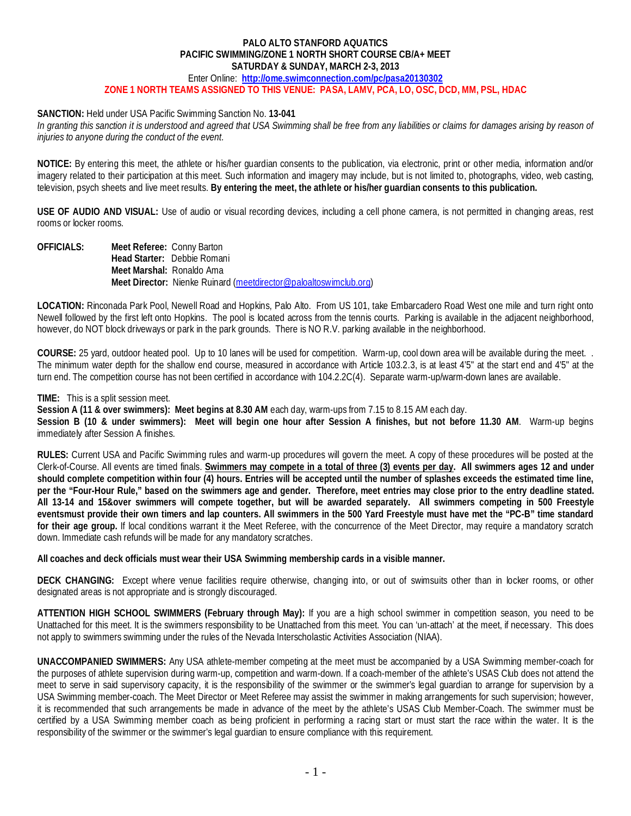### **PALO ALTO STANFORD AQUATICS PACIFIC SWIMMING/ZONE 1 NORTH SHORT COURSE CB/A+ MEET SATURDAY & SUNDAY, MARCH 2-3, 2013**

Enter Online: **<http://ome.swimconnection.com/pc/pasa20130302> ZONE 1 NORTH TEAMS ASSIGNED TO THIS VENUE: PASA, LAMV, PCA, LO, OSC, DCD, MM, PSL, HDAC**

## **SANCTION:** Held under USA Pacific Swimming Sanction No. **13-041**

In granting this sanction it is understood and agreed that USA Swimming shall be free from any liabilities or claims for damages arising by reason of *injuries to anyone during the conduct of the event.*

**NOTICE:** By entering this meet, the athlete or his/her guardian consents to the publication, via electronic, print or other media, information and/or imagery related to their participation at this meet. Such information and imagery may include, but is not limited to, photographs, video, web casting, television, psych sheets and live meet results. **By entering the meet, the athlete or his/her guardian consents to this publication.**

**USE OF AUDIO AND VISUAL:** Use of audio or visual recording devices, including a cell phone camera, is not permitted in changing areas, rest rooms or locker rooms.

**OFFICIALS: Meet Referee:** Conny Barton **Head Starter:** Debbie Romani **Meet Marshal:** Ronaldo Ama **Meet Director:** Nienke Ruinard [\(meetdirector@paloaltoswimclub.org\)](mailto:meetdirector@paloaltoswimclub.org)

**LOCATION:** Rinconada Park Pool, Newell Road and Hopkins, Palo Alto. From US 101, take Embarcadero Road West one mile and turn right onto Newell followed by the first left onto Hopkins. The pool is located across from the tennis courts. Parking is available in the adjacent neighborhood, however, do NOT block driveways or park in the park grounds. There is NO R.V. parking available in the neighborhood.

**COURSE:** 25 yard, outdoor heated pool. Up to 10 lanes will be used for competition. Warm-up, cool down area will be available during the meet. . The minimum water depth for the shallow end course, measured in accordance with Article 103.2.3, is at least 4'5" at the start end and 4'5" at the turn end. The competition course has not been certified in accordance with 104.2.2C(4). Separate warm-up/warm-down lanes are available.

## **TIME:** This is a split session meet.

**Session A (11 & over swimmers): Meet begins at 8.30 AM** each day, warm-ups from 7.15 to 8.15 AM each day.

**Session B (10 & under swimmers): Meet will begin one hour after Session A finishes, but not before 11.30 AM**. Warm-up begins immediately after Session A finishes.

**RULES:** Current USA and Pacific Swimming rules and warm-up procedures will govern the meet. A copy of these procedures will be posted at the Clerk-of-Course. All events are timed finals. **Swimmers may compete in a total of three (3) events per day. All swimmers ages 12 and under should complete competition within four (4) hours. Entries will be accepted until the number of splashes exceeds the estimated time line, per the "Four-Hour Rule," based on the swimmers age and gender. Therefore, meet entries may close prior to the entry deadline stated. All 13-14 and 15&over swimmers will compete together, but will be awarded separately. All swimmers competing in 500 Freestyle eventsmust provide their own timers and lap counters. All swimmers in the 500 Yard Freestyle must have met the "PC-B" time standard for their age group.** If local conditions warrant it the Meet Referee, with the concurrence of the Meet Director, may require a mandatory scratch down. Immediate cash refunds will be made for any mandatory scratches.

**All coaches and deck officials must wear their USA Swimming membership cards in a visible manner.** 

**DECK CHANGING:** Except where venue facilities require otherwise, changing into, or out of swimsuits other than in locker rooms, or other designated areas is not appropriate and is strongly discouraged.

**ATTENTION HIGH SCHOOL SWIMMERS (February through May):** If you are a high school swimmer in competition season, you need to be Unattached for this meet. It is the swimmers responsibility to be Unattached from this meet. You can 'un-attach' at the meet, if necessary. This does not apply to swimmers swimming under the rules of the Nevada Interscholastic Activities Association (NIAA).

**UNACCOMPANIED SWIMMERS:** Any USA athlete-member competing at the meet must be accompanied by a USA Swimming member-coach for the purposes of athlete supervision during warm-up, competition and warm-down. If a coach-member of the athlete's USAS Club does not attend the meet to serve in said supervisory capacity, it is the responsibility of the swimmer or the swimmer's legal guardian to arrange for supervision by a USA Swimming member-coach. The Meet Director or Meet Referee may assist the swimmer in making arrangements for such supervision; however, it is recommended that such arrangements be made in advance of the meet by the athlete's USAS Club Member-Coach. The swimmer must be certified by a USA Swimming member coach as being proficient in performing a racing start or must start the race within the water. It is the responsibility of the swimmer or the swimmer's legal guardian to ensure compliance with this requirement.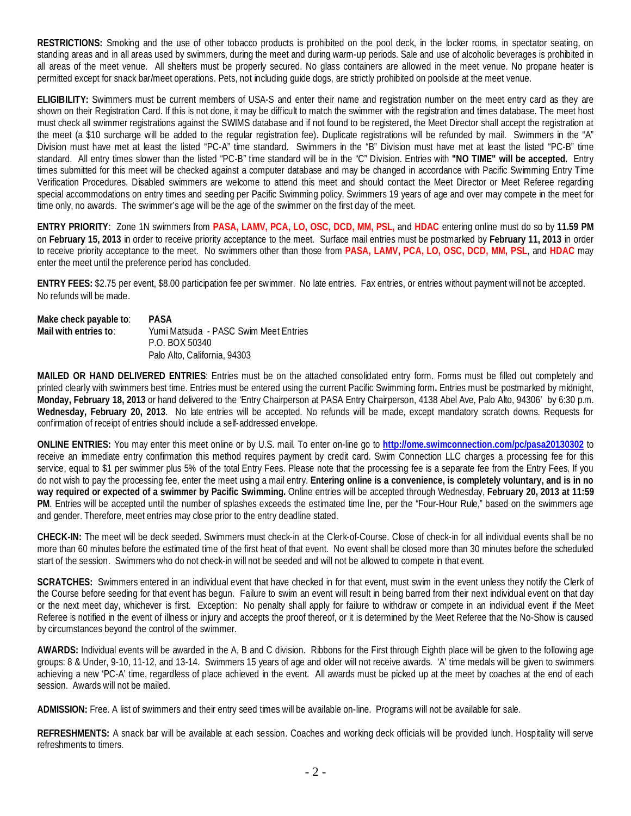**RESTRICTIONS:** Smoking and the use of other tobacco products is prohibited on the pool deck, in the locker rooms, in spectator seating, on standing areas and in all areas used by swimmers, during the meet and during warm-up periods. Sale and use of alcoholic beverages is prohibited in all areas of the meet venue. All shelters must be properly secured. No glass containers are allowed in the meet venue. No propane heater is permitted except for snack bar/meet operations. Pets, not including guide dogs, are strictly prohibited on poolside at the meet venue.

**ELIGIBILITY:** Swimmers must be current members of USA-S and enter their name and registration number on the meet entry card as they are shown on their Registration Card. If this is not done, it may be difficult to match the swimmer with the registration and times database. The meet host must check all swimmer registrations against the SWIMS database and if not found to be registered, the Meet Director shall accept the registration at the meet (a \$10 surcharge will be added to the regular registration fee). Duplicate registrations will be refunded by mail. Swimmers in the "A" Division must have met at least the listed "PC-A" time standard. Swimmers in the "B" Division must have met at least the listed "PC-B" time standard. All entry times slower than the listed "PC-B" time standard will be in the "C" Division. Entries with **"NO TIME" will be accepted.** Entry times submitted for this meet will be checked against a computer database and may be changed in accordance with Pacific Swimming Entry Time Verification Procedures. Disabled swimmers are welcome to attend this meet and should contact the Meet Director or Meet Referee regarding special accommodations on entry times and seeding per Pacific Swimming policy. Swimmers 19 years of age and over may compete in the meet for time only, no awards. The swimmer's age will be the age of the swimmer on the first day of the meet.

**ENTRY PRIORITY**: Zone 1N swimmers from **PASA, LAMV, PCA, LO, OSC, DCD, MM, PSL,** and **HDAC** entering online must do so by **11.59 PM** on **February 15, 2013** in order to receive priority acceptance to the meet. Surface mail entries must be postmarked by **February 11, 2013** in order to receive priority acceptance to the meet. No swimmers other than those from **PASA, LAMV, PCA, LO, OSC, DCD, MM, PSL**, and **HDAC** may enter the meet until the preference period has concluded.

**ENTRY FEES:** \$2.75 per event, \$8.00 participation fee per swimmer. No late entries. Fax entries, or entries without payment will not be accepted. No refunds will be made.

| Make check payable to: | <b>PASA</b>                           |
|------------------------|---------------------------------------|
| Mail with entries to:  | Yumi Matsuda - PASC Swim Meet Entries |
|                        | P.O. BOX 50340                        |
|                        | Palo Alto, California, 94303          |

**MAILED OR HAND DELIVERED ENTRIES**: Entries must be on the attached consolidated entry form. Forms must be filled out completely and printed clearly with swimmers best time. Entries must be entered using the current Pacific Swimming form**.** Entries must be postmarked by midnight, **Monday, February 18, 2013** or hand delivered to the 'Entry Chairperson at PASA Entry Chairperson, 4138 Abel Ave, Palo Alto, 94306' by 6:30 p.m. **Wednesday, February 20, 2013**. No late entries will be accepted. No refunds will be made, except mandatory scratch downs. Requests for confirmation of receipt of entries should include a self-addressed envelope.

**ONLINE ENTRIES:** You may enter this meet online or by U.S. mail. To enter on-line go to **<http://ome.swimconnection.com/pc/pasa20130302>** to receive an immediate entry confirmation this method requires payment by credit card. Swim Connection LLC charges a processing fee for this service, equal to \$1 per swimmer plus 5% of the total Entry Fees. Please note that the processing fee is a separate fee from the Entry Fees. If you do not wish to pay the processing fee, enter the meet using a mail entry. **Entering online is a convenience, is completely voluntary, and is in no way required or expected of a swimmer by Pacific Swimming.** Online entries will be accepted through Wednesday, **February 20, 2013 at 11:59 PM**. Entries will be accepted until the number of splashes exceeds the estimated time line, per the "Four-Hour Rule," based on the swimmers age and gender. Therefore, meet entries may close prior to the entry deadline stated.

**CHECK-IN:** The meet will be deck seeded. Swimmers must check-in at the Clerk-of-Course. Close of check-in for all individual events shall be no more than 60 minutes before the estimated time of the first heat of that event. No event shall be closed more than 30 minutes before the scheduled start of the session. Swimmers who do not check-in will not be seeded and will not be allowed to compete in that event.

**SCRATCHES:** Swimmers entered in an individual event that have checked in for that event, must swim in the event unless they notify the Clerk of the Course before seeding for that event has begun. Failure to swim an event will result in being barred from their next individual event on that day or the next meet day, whichever is first. Exception: No penalty shall apply for failure to withdraw or compete in an individual event if the Meet Referee is notified in the event of illness or injury and accepts the proof thereof, or it is determined by the Meet Referee that the No-Show is caused by circumstances beyond the control of the swimmer.

**AWARDS:** Individual events will be awarded in the A, B and C division. Ribbons for the First through Eighth place will be given to the following age groups: 8 & Under, 9-10, 11-12, and 13-14. Swimmers 15 years of age and older will not receive awards. 'A' time medals will be given to swimmers achieving a new 'PC-A' time, regardless of place achieved in the event. All awards must be picked up at the meet by coaches at the end of each session. Awards will not be mailed.

**ADMISSION:** Free. A list of swimmers and their entry seed times will be available on-line. Programs will not be available for sale.

REFRESHMENTS: A snack bar will be available at each session. Coaches and working deck officials will be provided lunch. Hospitality will serve refreshments to timers.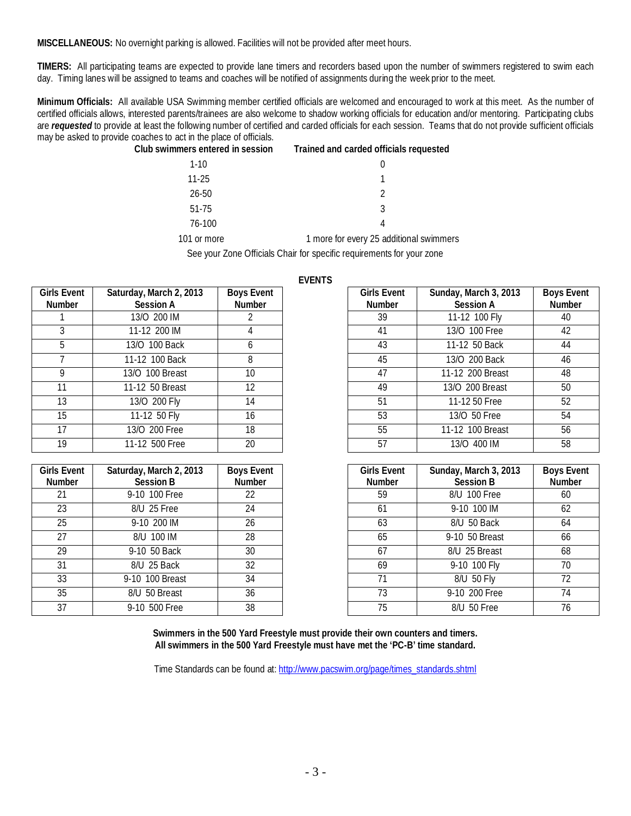**MISCELLANEOUS:** No overnight parking is allowed. Facilities will not be provided after meet hours.

**TIMERS:** All participating teams are expected to provide lane timers and recorders based upon the number of swimmers registered to swim each day. Timing lanes will be assigned to teams and coaches will be notified of assignments during the week prior to the meet.

**Minimum Officials:** All available USA Swimming member certified officials are welcomed and encouraged to work at this meet. As the number of certified officials allows, interested parents/trainees are also welcome to shadow working officials for education and/or mentoring. Participating clubs are *requested* to provide at least the following number of certified and carded officials for each session. Teams that do not provide sufficient officials may be asked to provide coaches to act in the place of officials.

| Club swimmers entered in session | Trained and carded officials requested |
|----------------------------------|----------------------------------------|
|----------------------------------|----------------------------------------|

| $1 - 10$             |                                    |
|----------------------|------------------------------------|
| $11 - 25$            |                                    |
| $26 - 50$            | $\mathcal{D}$                      |
| $51 - 75$            | 3                                  |
| 76-100               | Δ                                  |
| $\sim$ $\sim$ $\sim$ | . .<br>$\epsilon$<br>$\sim$ $\sim$ |

101 or more 1 more for every 25 additional swimmers

See your Zone Officials Chair for specific requirements for your zone

**EVENTS**

|                              |                                             |                                    | ᆫ᠈ᄂᆝ᠈ᆝ |                                     |                                           |                             |
|------------------------------|---------------------------------------------|------------------------------------|--------|-------------------------------------|-------------------------------------------|-----------------------------|
| <b>Girls Event</b><br>Number | Saturday, March 2, 2013<br><b>Session A</b> | <b>Boys Event</b><br><b>Number</b> |        | <b>Girls Event</b><br><b>Number</b> | Sunday, March 3, 2013<br><b>Session A</b> | <b>Boys E</b><br><b>Num</b> |
|                              | 13/0 200 IM                                 |                                    |        | 39                                  | 11-12 100 Fly                             | 40                          |
|                              | 11-12 200 IM                                | 4                                  |        | 41                                  | 13/0 100 Free                             | 42                          |
| 5                            | 13/0 100 Back                               | <sub>6</sub>                       |        | 43                                  | 11-12 50 Back                             | 44                          |
|                              | 11-12 100 Back                              | 8                                  |        | 45                                  | 13/0 200 Back                             | 46                          |
| 9                            | 13/0 100 Breast                             | 10                                 |        | 47                                  | 11-12 200 Breast                          | 48                          |
| 11                           | 11-12 50 Breast                             | 12                                 |        | 49                                  | 13/0 200 Breast                           | 50                          |
| 13                           | 13/0 200 Fly                                | 14                                 |        | 51                                  | 11-12 50 Free                             | 52                          |
| 15                           | 11-12 50 Fly                                | 16                                 |        | 53                                  | 13/0 50 Free                              | 54                          |
| 17                           | 13/O 200 Free                               | 18                                 |        | 55                                  | 11-12 100 Breast                          | 56                          |
| 19                           | 11-12 500 Free                              | 20                                 |        | 57                                  | 13/0 400 IM                               | 58                          |

| <b>Girls Event</b> | Saturday, March 2, 2013 | <b>Boys Event</b> | <b>Girls Event</b> | Sunday, March 3, 2013 | <b>Boys E</b> |
|--------------------|-------------------------|-------------------|--------------------|-----------------------|---------------|
| <b>Number</b>      | <b>Session B</b>        | Number            | <b>Number</b>      | <b>Session B</b>      | Num           |
| 21                 | 9-10 100 Free           | 22                | 59                 | 8/U 100 Free          |               |
| 23                 | 8/U 25 Free             | 24                | 61                 | 9-10 100 IM           | -62           |
| 25                 | 9-10 200 IM             | 26                | 63                 | 8/U 50 Back           |               |
| 27                 | 8/U 100 IM              | 28                | 65                 | 9-10 50 Breast        |               |
| 29                 | 9-10 50 Back            | 30                | 67                 | 8/U 25 Breast         |               |
| 31                 | 8/U 25 Back             | 32                | 69                 | 9-10 100 Fly          |               |
| 33                 | 9-10 100 Breast         | 34                | 71                 | 8/U 50 Fly            |               |
| 35                 | 8/U 50 Breast           | 36                | 73                 | 9-10 200 Free         |               |
| 37                 | 9-10 500 Free           | 38                | 75                 | 8/U 50 Free           |               |
|                    |                         |                   |                    |                       |               |

| <b>Girls Event</b><br><b>Number</b> | Sunday, March 3, 2013<br><b>Session A</b> | <b>Boys Event</b><br>Number |
|-------------------------------------|-------------------------------------------|-----------------------------|
| 39                                  | 11-12 100 Fly                             | 40                          |
| 41                                  | 13/0 100 Free                             | 42                          |
| 43                                  | 11-12 50 Back                             | 44                          |
| 45                                  | 13/0 200 Back                             | 46                          |
| 47                                  | 11-12 200 Breast                          | 48                          |
| 49                                  | 13/0 200 Breast                           | 50                          |
| 51                                  | 11-12 50 Free                             | 52                          |
| 53                                  | 13/0 50 Free                              | 54                          |
| 55                                  | 11-12 100 Breast                          | 56                          |
| 57                                  | 13/0 400 IM                               | 58                          |

| <b>Girls Event</b><br><b>Number</b> | Sunday, March 3, 2013<br><b>Session B</b> | <b>Boys Event</b><br>Number |
|-------------------------------------|-------------------------------------------|-----------------------------|
| 59                                  | 8/U 100 Free                              | 60                          |
| 61                                  | 9-10 100 IM                               | 62                          |
| 63                                  | 8/U 50 Back                               | 64                          |
| 65                                  | 9-10 50 Breast                            | 66                          |
| 67                                  | 8/U 25 Breast                             | 68                          |
| 69                                  | 9-10 100 Fly                              | 70                          |
| 71                                  | 8/U 50 Fly                                | 72                          |
| 73                                  | 9-10 200 Free                             | 74                          |
| 75                                  | 8/U 50 Free                               | 76                          |

**Swimmers in the 500 Yard Freestyle must provide their own counters and timers. All swimmers in the 500 Yard Freestyle must have met the 'PC-B' time standard.**

Time Standards can be found at: [http://www.pacswim.org/page/times\\_standards.shtml](http://www.pacswim.org/page/times_standards.shtml)